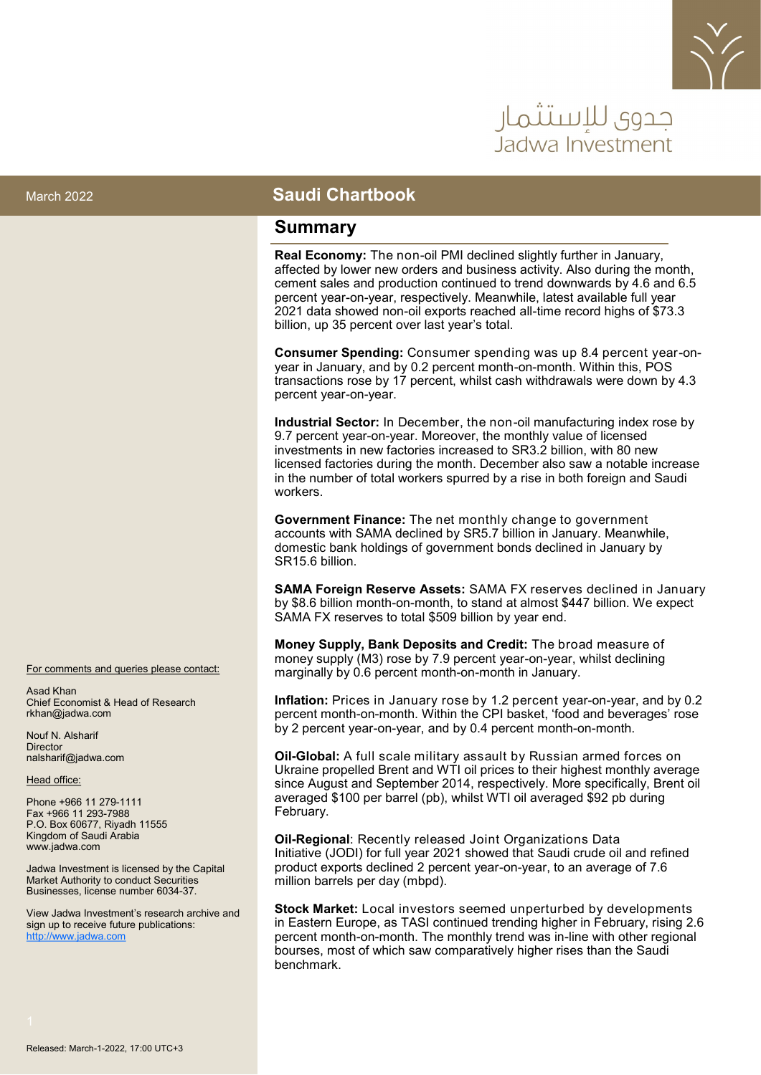

# حدوي للاستثمار Jadwa Investmer

#### March 2022 **Saudi Chartbook**

#### **Summary**

**Real Economy:** The non-oil PMI declined slightly further in January, affected by lower new orders and business activity. Also during the month, cement sales and production continued to trend downwards by 4.6 and 6.5 percent year-on-year, respectively. Meanwhile, latest available full year 2021 data showed non-oil exports reached all-time record highs of \$73.3 billion, up 35 percent over last year's total.

**Consumer Spending:** Consumer spending was up 8.4 percent year-onyear in January, and by 0.2 percent month-on-month. Within this, POS transactions rose by 17 percent, whilst cash withdrawals were down by 4.3 percent year-on-year.

**Industrial Sector:** In December, the non-oil manufacturing index rose by 9.7 percent year-on-year. Moreover, the monthly value of licensed investments in new factories increased to SR3.2 billion, with 80 new licensed factories during the month. December also saw a notable increase in the number of total workers spurred by a rise in both foreign and Saudi workers.

**Government Finance:** The net monthly change to government accounts with SAMA declined by SR5.7 billion in January. Meanwhile, domestic bank holdings of government bonds declined in January by SR15.6 billion.

**SAMA Foreign Reserve Assets:** SAMA FX reserves declined in January by \$8.6 billion month-on-month, to stand at almost \$447 billion. We expect SAMA FX reserves to total \$509 billion by year end.

**Money Supply, Bank Deposits and Credit:** The broad measure of money supply (M3) rose by 7.9 percent year-on-year, whilst declining marginally by 0.6 percent month-on-month in January.

**Inflation:** Prices in January rose by 1.2 percent year-on-year, and by 0.2 percent month-on-month. Within the CPI basket, 'food and beverages' rose by 2 percent year-on-year, and by 0.4 percent month-on-month.

**Oil-Global:** A full scale military assault by Russian armed forces on Ukraine propelled Brent and WTI oil prices to their highest monthly average since August and September 2014, respectively. More specifically, Brent oil averaged \$100 per barrel (pb), whilst WTI oil averaged \$92 pb during February.

**Oil-Regional**: Recently released Joint Organizations Data Initiative (JODI) for full year 2021 showed that Saudi crude oil and refined product exports declined 2 percent year-on-year, to an average of 7.6 million barrels per day (mbpd).

**Stock Market:** Local investors seemed unperturbed by developments in Eastern Europe, as TASI continued trending higher in February, rising 2.6 percent month-on-month. The monthly trend was in-line with other regional bourses, most of which saw comparatively higher rises than the Saudi benchmark.

For comments and queries please contact:

Asad Khan Chief Economist & Head of Research rkhan@jadwa.com

Nouf N. Alsharif **Director** nalsharif@jadwa.com

Head office:

Phone +966 11 279-1111 Fax +966 11 293-7988 P.O. Box 60677, Riyadh 11555 Kingdom of Saudi Arabia www.jadwa.com

Jadwa Investment is licensed by the Capital Market Authority to conduct Securities Businesses, license number 6034-37.

View Jadwa Investment's research archive and sign up to receive future publications: <http://www.jadwa.com>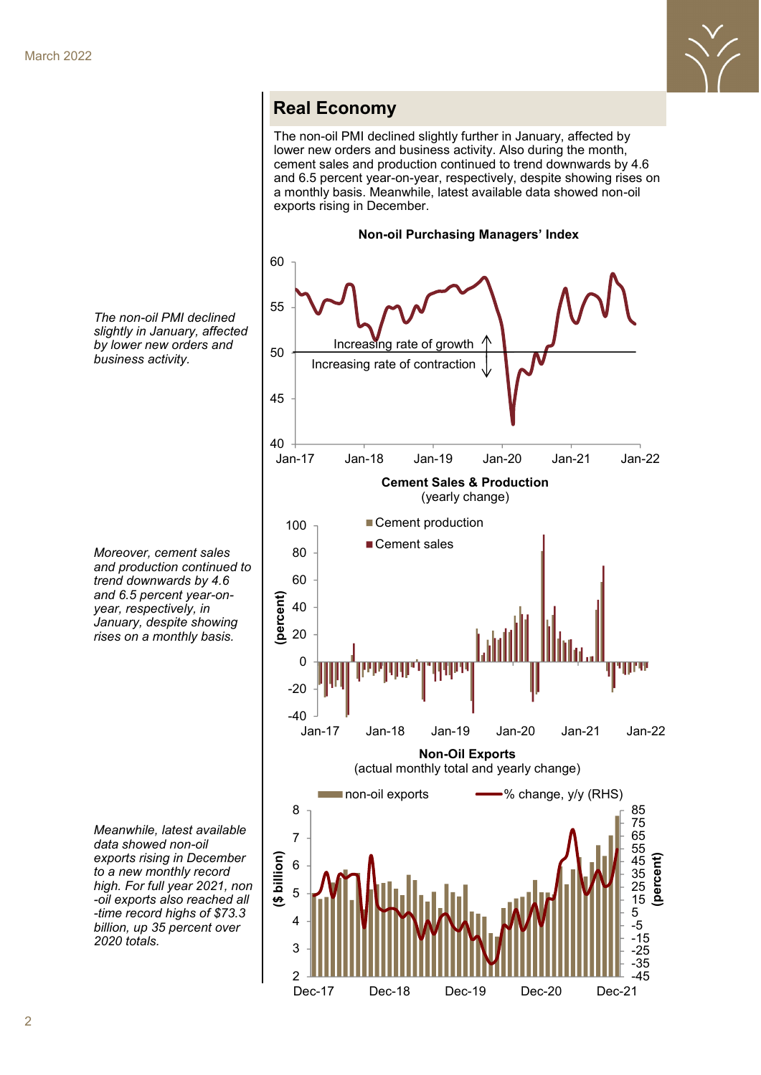

#### **Real Economy**

The non-oil PMI declined slightly further in January, affected by lower new orders and business activity. Also during the month, cement sales and production continued to trend downwards by 4.6 and 6.5 percent year-on-year, respectively, despite showing rises on a monthly basis. Meanwhile, latest available data showed non-oil exports rising in December.



*The non-oil PMI declined slightly in January, affected by lower new orders and business activity.* 

*Moreover, cement sales and production continued to trend downwards by 4.6 and 6.5 percent year-onyear, respectively, in January, despite showing rises on a monthly basis.*

*Meanwhile, latest available data showed non-oil exports rising in December to a new monthly record high. For full year 2021, non -oil exports also reached all -time record highs of \$73.3 billion, up 35 percent over 2020 totals.*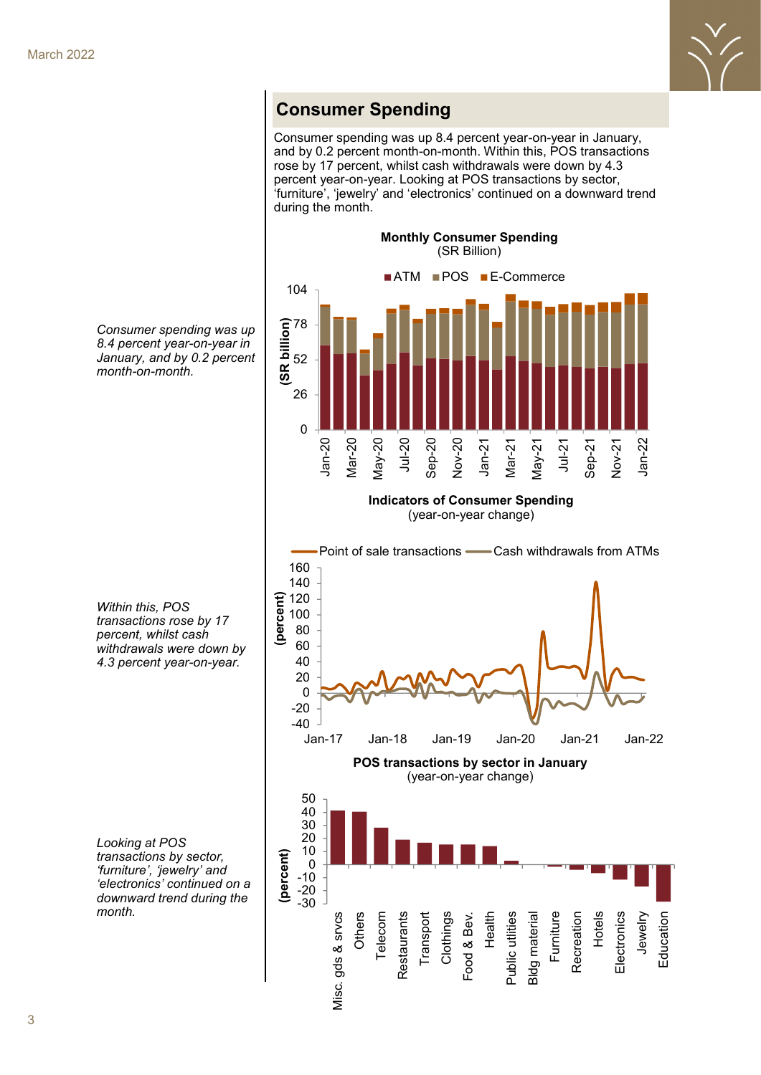

## **Consumer Spending**

Consumer spending was up 8.4 percent year-on-year in January, and by 0.2 percent month-on-month. Within this, POS transactions rose by 17 percent, whilst cash withdrawals were down by 4.3 percent year-on-year. Looking at POS transactions by sector, 'furniture', 'jewelry' and 'electronics' continued on a downward trend during the month.





*Consumer spending was up 8.4 percent year-on-year in* 

**Indicators of Consumer Spending** (year-on-year change)



*Within this, POS transactions rose by 17 percent, whilst cash withdrawals were down by 4.3 percent year-on-year.* 

*Looking at POS transactions by sector, 'furniture', 'jewelry' and 'electronics' continued on a downward trend during the month.*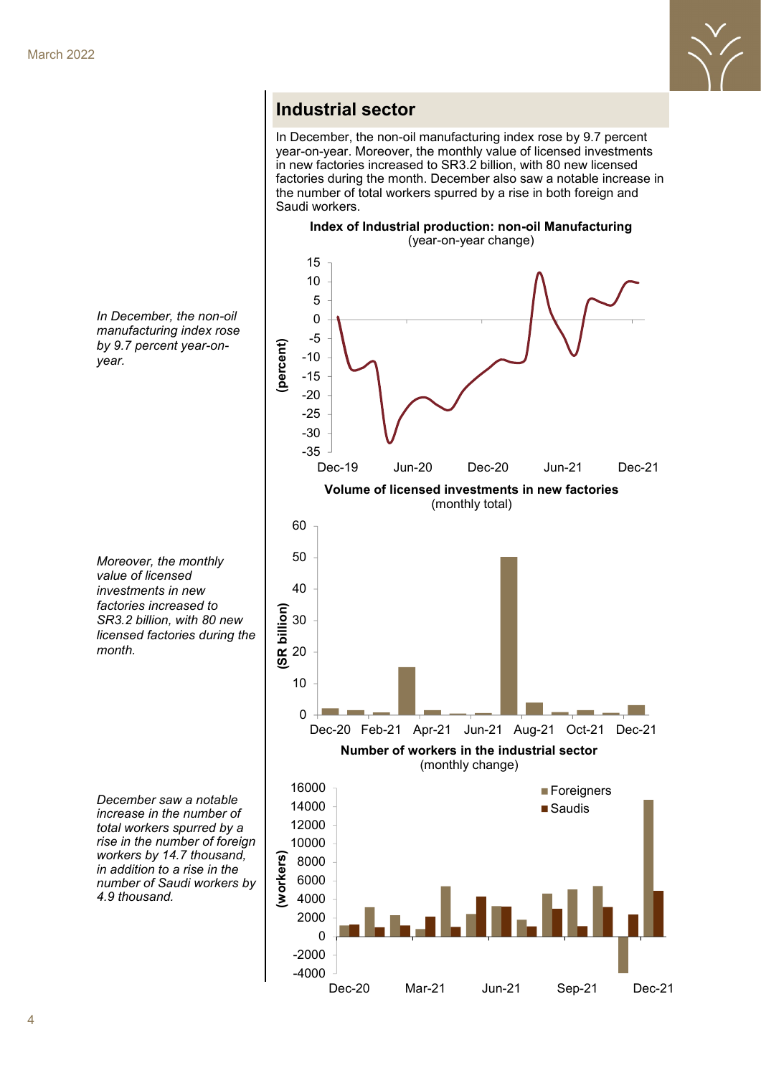

### **Industrial sector**

In December, the non-oil manufacturing index rose by 9.7 percent year-on-year. Moreover, the monthly value of licensed investments in new factories increased to SR3.2 billion, with 80 new licensed factories during the month. December also saw a notable increase in the number of total workers spurred by a rise in both foreign and Saudi workers.



*In December, the non-oil manufacturing index rose by 9.7 percent year-onyear.* 

*Moreover, the monthly value of licensed investments in new factories increased to SR3.2 billion, with 80 new licensed factories during the month.* 

*December saw a notable increase in the number of total workers spurred by a rise in the number of foreign workers by 14.7 thousand, in addition to a rise in the number of Saudi workers by 4.9 thousand.*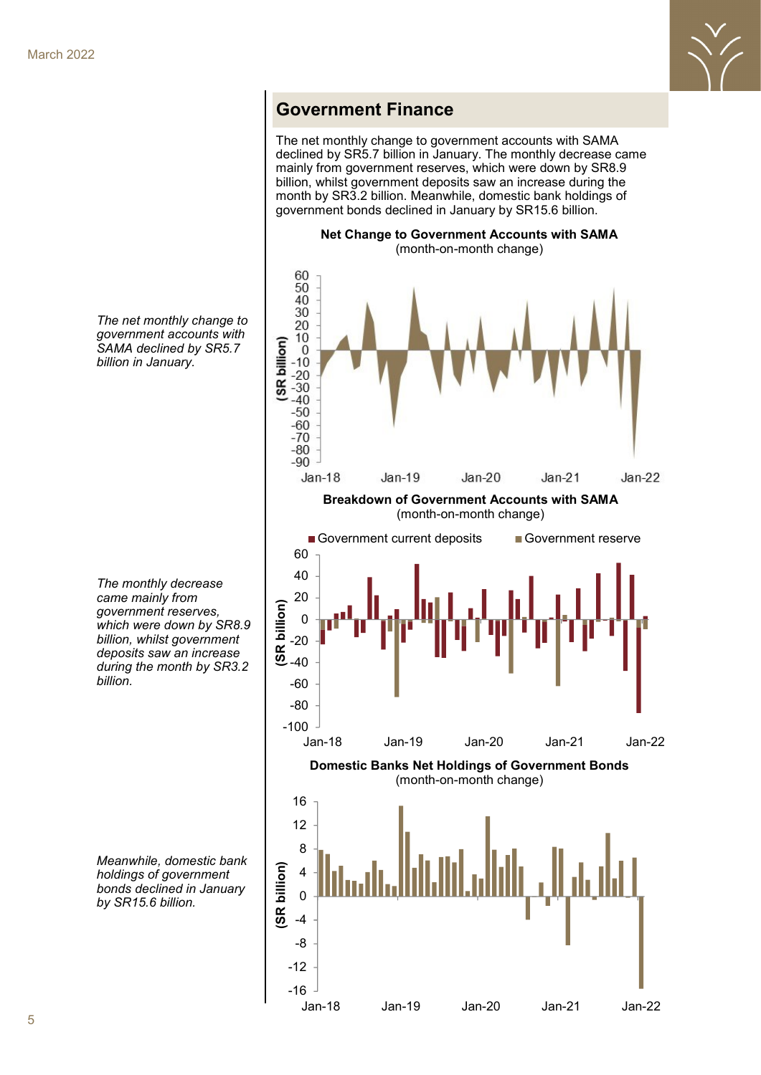

#### **Government Finance**

The net monthly change to government accounts with SAMA declined by SR5.7 billion in January. The monthly decrease came mainly from government reserves, which were down by SR8.9 billion, whilst government deposits saw an increase during the month by SR3.2 billion. Meanwhile, domestic bank holdings of government bonds declined in January by SR15.6 billion.



Jan-18 Jan-19 Jan-20 Jan-21 Jan-22

*The net monthly change to government accounts with SAMA declined by SR5.7 billion in January.* 

*The monthly decrease came mainly from government reserves, which were down by SR8.9 billion, whilst government deposits saw an increase during the month by SR3.2 billion.* 

*Meanwhile, domestic bank holdings of government bonds declined in January by SR15.6 billion.*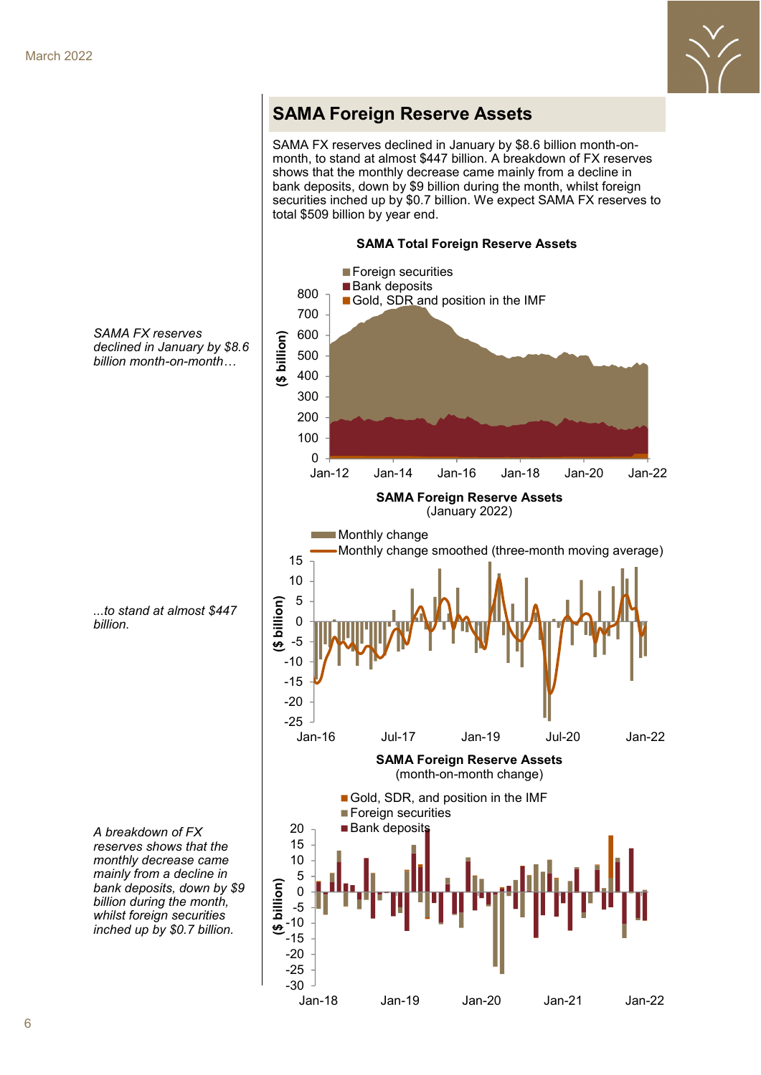

### **SAMA Foreign Reserve Assets**

SAMA FX reserves declined in January by \$8.6 billion month-onmonth, to stand at almost \$447 billion. A breakdown of FX reserves shows that the monthly decrease came mainly from a decline in bank deposits, down by \$9 billion during the month, whilst foreign securities inched up by \$0.7 billion. We expect SAMA FX reserves to total \$509 billion by year end.

**SAMA Total Foreign Reserve Assets**



Jan-18 Jan-19 Jan-20 Jan-21 Jan-22

*SAMA FX reserves declined in January by \$8.6 billion month-on-month…*

*...to stand at almost \$447 billion.* 

*reserves shows that the monthly decrease came mainly from a decline in bank deposits, down by \$9 billion during the month, whilst foreign securities inched up by \$0.7 billion.*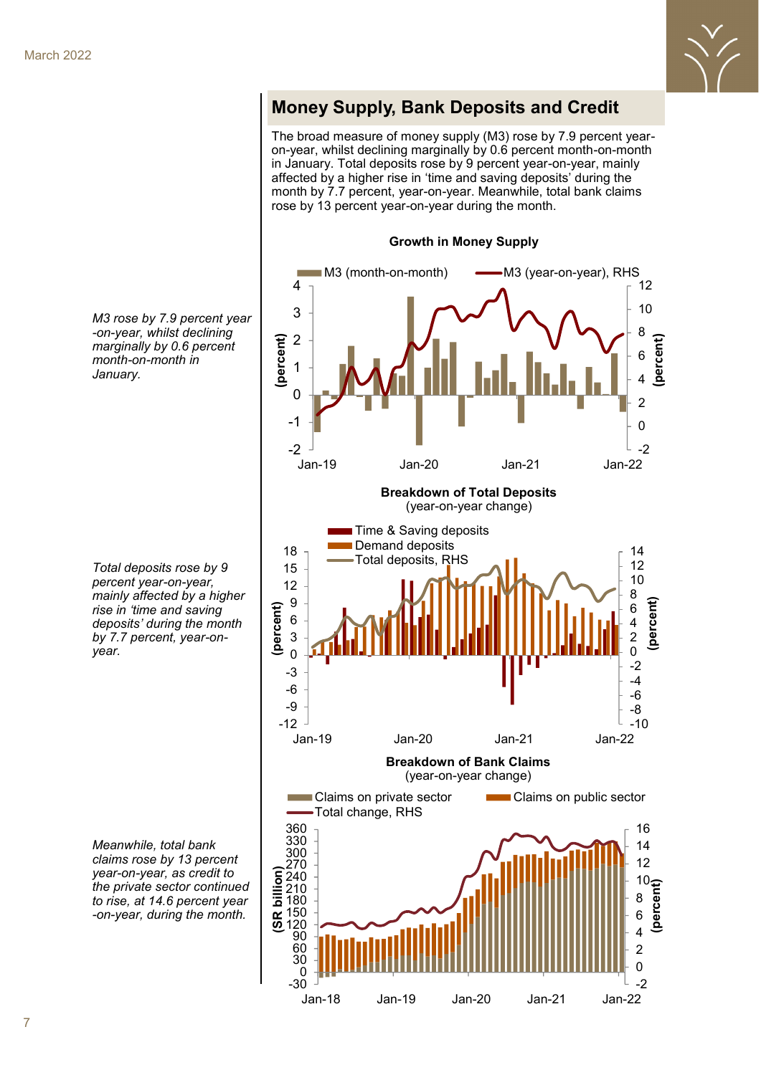

# **Money Supply, Bank Deposits and Credit**

The broad measure of money supply (M3) rose by 7.9 percent yearon-year, whilst declining marginally by 0.6 percent month-on-month in January. Total deposits rose by 9 percent year-on-year, mainly affected by a higher rise in 'time and saving deposits' during the month by 7.7 percent, year-on-year. Meanwhile, total bank claims rose by 13 percent year-on-year during the month.

**Growth in Money Supply**



*M3 rose by 7.9 percent year -on-year, whilst declining marginally by 0.6 percent month-on-month in January.* 

*Total deposits rose by 9 percent year-on-year, mainly affected by a higher rise in 'time and saving deposits' during the month by 7.7 percent, year-onyear.* 

*Meanwhile, total bank claims rose by 13 percent year-on-year, as credit to the private sector continued to rise, at 14.6 percent year -on-year, during the month.*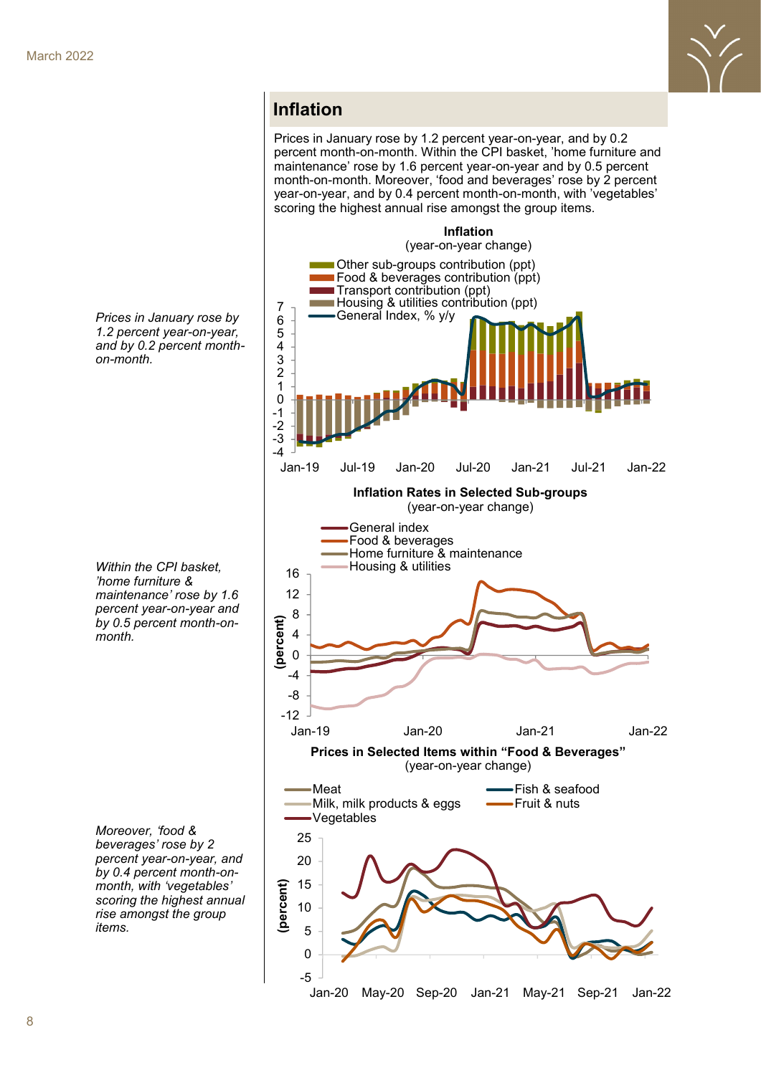

#### **Inflation**

Prices in January rose by 1.2 percent year-on-year, and by 0.2 percent month-on-month. Within the CPI basket, 'home furniture and maintenance' rose by 1.6 percent year-on-year and by 0.5 percent month-on-month. Moreover, 'food and beverages' rose by 2 percent year-on-year, and by 0.4 percent month-on-month, with 'vegetables' scoring the highest annual rise amongst the group items.



*Prices in January rose by 1.2 percent year-on-year, and by 0.2 percent monthon-month.* 

*Within the CPI basket, 'home furniture & maintenance' rose by 1.6 percent year-on-year and by 0.5 percent month-onmonth.* 

*Moreover, 'food & beverages' rose by 2 percent year-on-year, and by 0.4 percent month-onmonth, with 'vegetables' scoring the highest annual rise amongst the group items.*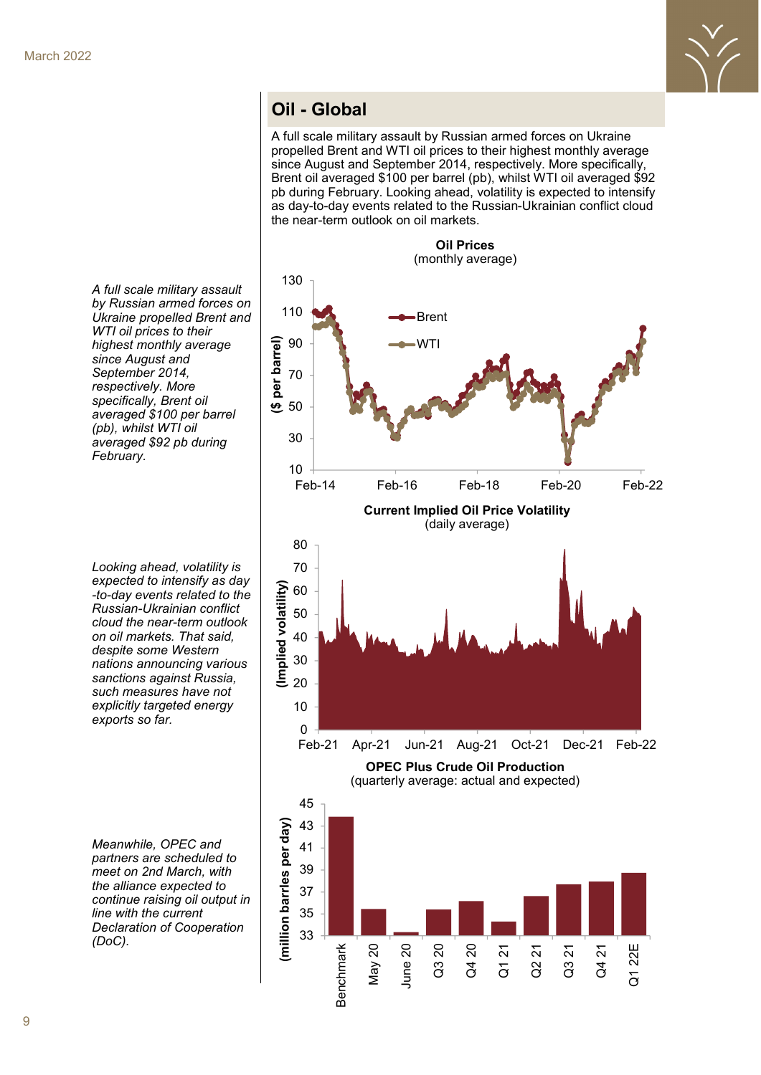

## **Oil - Global**

A full scale military assault by Russian armed forces on Ukraine propelled Brent and WTI oil prices to their highest monthly average since August and September 2014, respectively. More specifically, Brent oil averaged \$100 per barrel (pb), whilst WTI oil averaged \$92 pb during February. Looking ahead, volatility is expected to intensify as day-to-day events related to the Russian-Ukrainian conflict cloud the near-term outlook on oil markets.

**Oil Prices** (monthly average) 130 110 Brent per barrel) **(\$ per barrel)** 90 WTI 70 <u>ප</u> 50 30 10 Feb-14 Feb-16 Feb-18 Feb-20 Feb-22 **Current Implied Oil Price Volatility**  (daily average) 80 70 **(Implied volatility)** Implied volatility) 60 50 40 30 20 10 0 Feb-21 Apr-21 Jun-21 Aug-21 Oct-21 Dec-21 Feb-22 **OPEC Plus Crude Oil Production** (quarterly average: actual and expected) 45 **(million barrles per day)**43 (million barrles per day) 41 39 37 35 33 May 20 Benchmark Q3 20 Q4 20 June 20 Q4 21 Q1 22E Q1 21 Q2 21 Q3 21

*A full scale military assault by Russian armed forces on Ukraine propelled Brent and WTI oil prices to their highest monthly average since August and September 2014, respectively. More specifically, Brent oil averaged \$100 per barrel (pb), whilst WTI oil averaged \$92 pb during February.* 

*Looking ahead, volatility is expected to intensify as day -to-day events related to the Russian-Ukrainian conflict cloud the near-term outlook on oil markets. That said, despite some Western nations announcing various sanctions against Russia, such measures have not explicitly targeted energy exports so far.* 

*Meanwhile, OPEC and partners are scheduled to meet on 2nd March, with the alliance expected to continue raising oil output in line with the current Declaration of Cooperation (DoC).*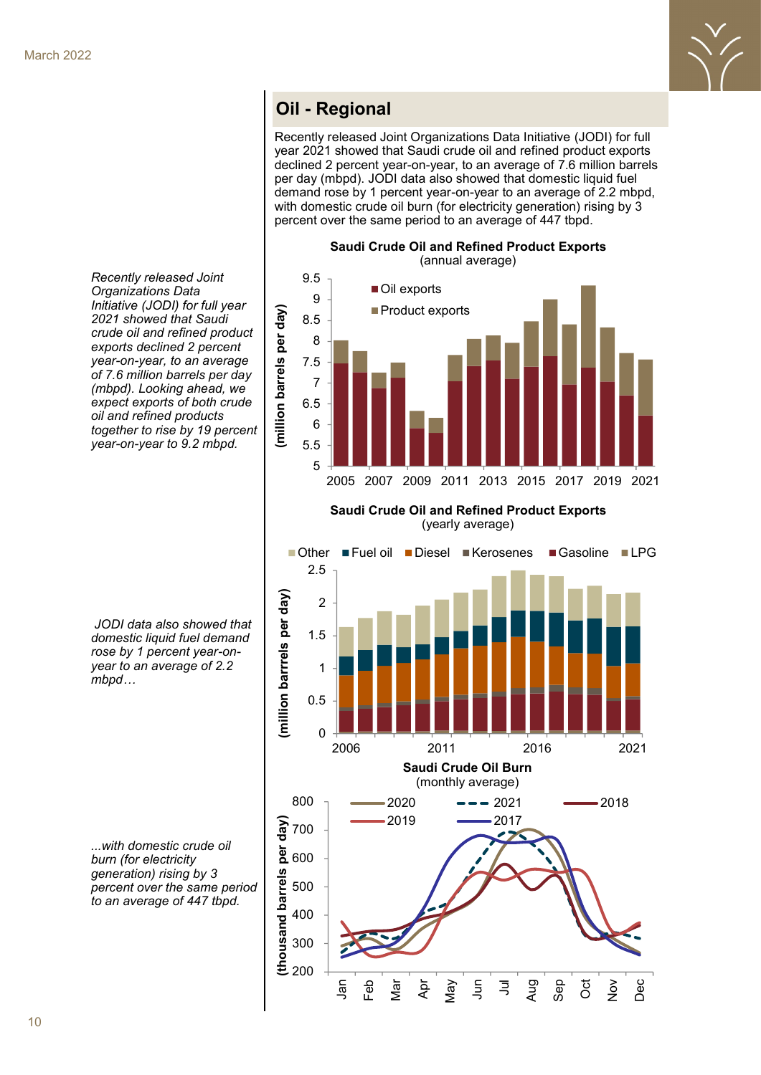

## **Oil Oil - Regional - Regional**

Recently released Joint Organizations Data Initiative (JODI) for full year 2021 showed that Saudi crude oil and refined product exports declined 2 percent year-on-year, to an average of 7.6 million barrels per day (mbpd). JODI data also showed that domestic liquid fuel demand rose by 1 percent year-on-year to an average of 2.2 mbpd, with domestic crude oil burn (for electricity generation) rising by 3 percent over the same period to an average of 447 tbpd.

**Saudi Crude Oil and Refined Product Exports**

(annual average) 9.5 Oil exports 9 illion barrels per day) **(million barrels per day) Product exports** 8.5 8 7.5 7 6.5 6  $\bar{\Xi}$ 5.5 5 2005 2007 2009 2011 2013 2015 2017 2019 2021

**Saudi Crude Oil and Refined Product Exports** (yearly average)



*Recently released Joint Organizations Data Initiative (JODI) for full year 2021 showed that Saudi crude oil and refined product exports declined 2 percent year-on-year, to an average of 7.6 million barrels per day (mbpd). Looking ahead, we expect exports of both crude oil and refined products together to rise by 19 percent year-on-year to 9.2 mbpd.*

*JODI data also showed that domestic liquid fuel demand rose by 1 percent year-onyear to an average of 2.2 mbpd…*

*...with domestic crude oil burn (for electricity generation) rising by 3 percent over the same period to an average of 447 tbpd.*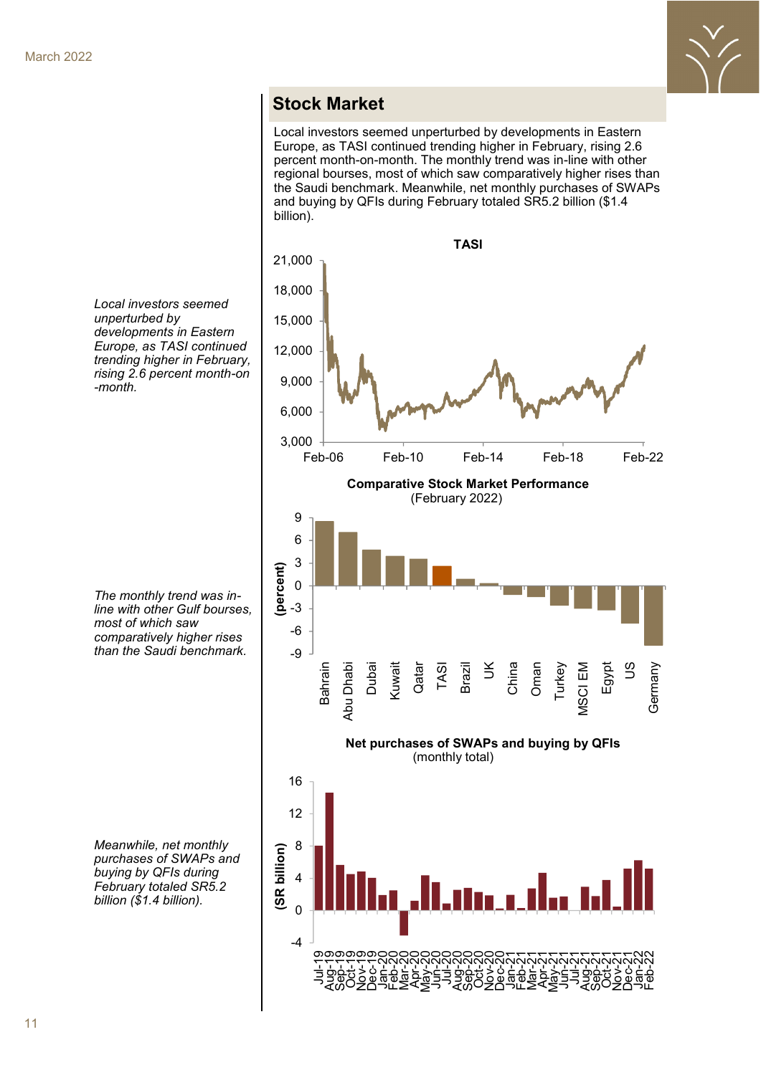

#### **Stock Market**

Local investors seemed unperturbed by developments in Eastern Europe, as TASI continued trending higher in February, rising 2.6 percent month-on-month. The monthly trend was in-line with other regional bourses, most of which saw comparatively higher rises than the Saudi benchmark. Meanwhile, net monthly purchases of SWAPs and buying by QFIs during February totaled SR5.2 billion (\$1.4 billion).



*Local investors seemed unperturbed by developments in Eastern Europe, as TASI continued trending higher in February, rising 2.6 percent month-on -month.* 

*The monthly trend was inline with other Gulf bourses, most of which saw comparatively higher rises than the Saudi benchmark.* 

*Meanwhile, net monthly purchases of SWAPs and buying by QFIs during February totaled SR5.2 billion (\$1.4 billion).*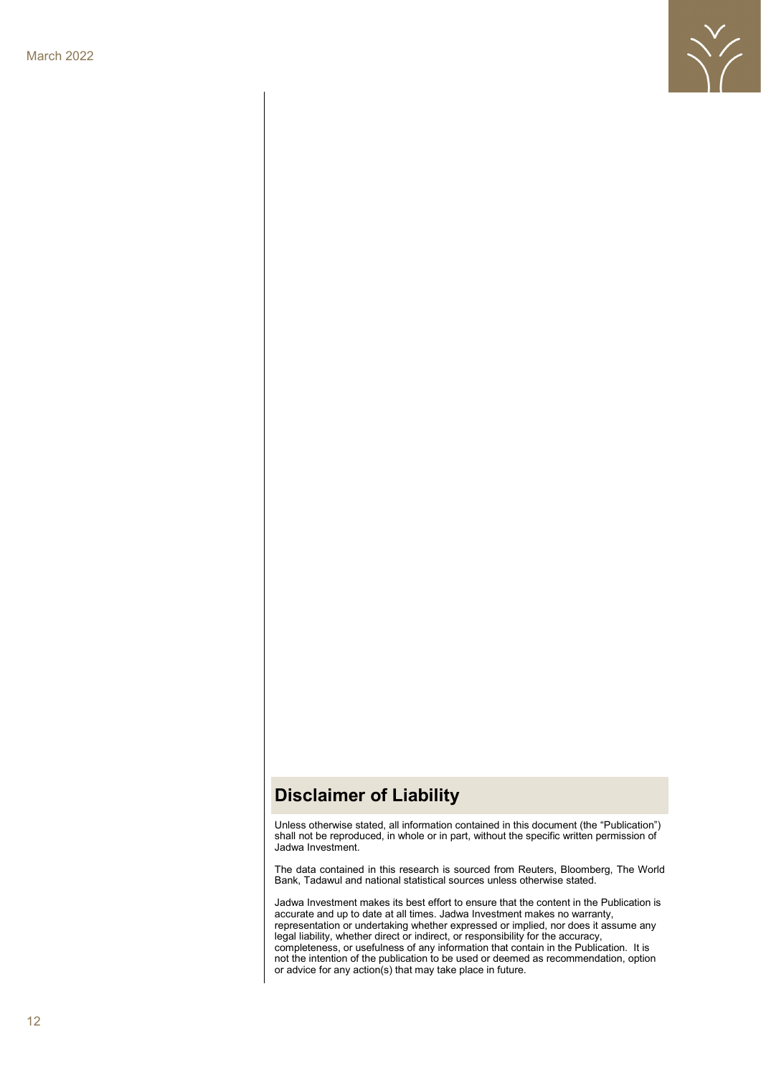

### **Disclaimer of Liability**

Unless otherwise stated, all information contained in this document (the "Publication") shall not be reproduced, in whole or in part, without the specific written permission of Jadwa Investment.

The data contained in this research is sourced from Reuters, Bloomberg, The World Bank, Tadawul and national statistical sources unless otherwise stated.

Jadwa Investment makes its best effort to ensure that the content in the Publication is accurate and up to date at all times. Jadwa Investment makes no warranty, representation or undertaking whether expressed or implied, nor does it assume any legal liability, whether direct or indirect, or responsibility for the accuracy, completeness, or usefulness of any information that contain in the Publication. It is not the intention of the publication to be used or deemed as recommendation, option or advice for any action(s) that may take place in future.